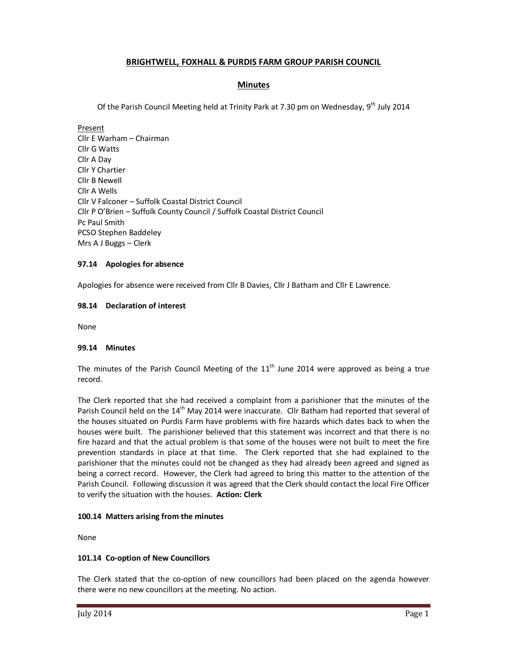# **BRIGHTWELL, FOXHALL & PURDIS FARM GROUP PARISH COUNCIL**

# **Minutes**

Of the Parish Council Meeting held at Trinity Park at 7.30 pm on Wednesday, 9<sup>th</sup> July 2014

Present Cllr E Warham – Chairman Cllr G Watts Cllr A Day Cllr Y Chartier Cllr B Newell Cllr A Wells Cllr V Falconer – Suffolk Coastal District Council Cllr P O'Brien – Suffolk County Council / Suffolk Coastal District Council Pc Paul Smith PCSO Stephen Baddeley Mrs A J Buggs – Clerk

### **97.14 Apologies for absence**

Apologies for absence were received from Cllr B Davies, Cllr J Batham and Cllr E Lawrence.

# **98.14 Declaration of interest**

None

#### **99.14 Minutes**

The minutes of the Parish Council Meeting of the  $11<sup>th</sup>$  June 2014 were approved as being a true record.

The Clerk reported that she had received a complaint from a parishioner that the minutes of the Parish Council held on the 14<sup>th</sup> May 2014 were inaccurate. Cllr Batham had reported that several of the houses situated on Purdis Farm have problems with fire hazards which dates back to when the houses were built. The parishioner believed that this statement was incorrect and that there is no fire hazard and that the actual problem is that some of the houses were not built to meet the fire prevention standards in place at that time. The Clerk reported that she had explained to the parishioner that the minutes could not be changed as they had already been agreed and signed as being a correct record. However, the Clerk had agreed to bring this matter to the attention of the Parish Council. Following discussion it was agreed that the Clerk should contact the local Fire Officer to verify the situation with the houses. **Action: Clerk** 

# **100.14 Matters arising from the minutes**

None

# **101.14 Co-option of New Councillors**

The Clerk stated that the co-option of new councillors had been placed on the agenda however there were no new councillors at the meeting. No action.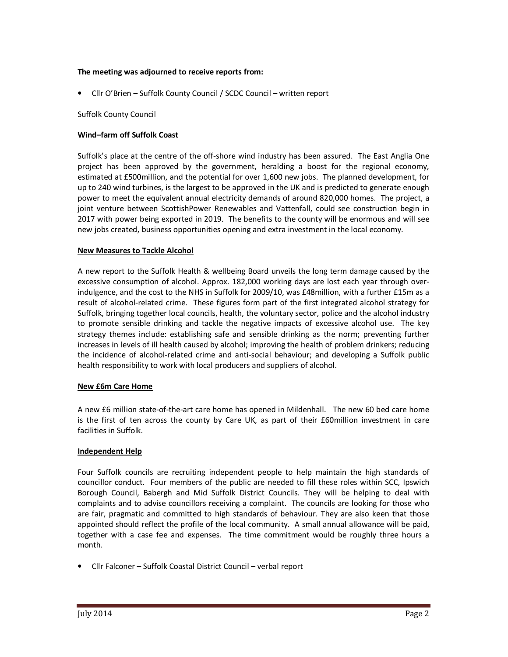### **The meeting was adjourned to receive reports from:**

• Cllr O'Brien – Suffolk County Council / SCDC Council – written report

# Suffolk County Council

# **Wind–farm off Suffolk Coast**

Suffolk's place at the centre of the off-shore wind industry has been assured. The East Anglia One project has been approved by the government, heralding a boost for the regional economy, estimated at £500million, and the potential for over 1,600 new jobs. The planned development, for up to 240 wind turbines, is the largest to be approved in the UK and is predicted to generate enough power to meet the equivalent annual electricity demands of around 820,000 homes. The project, a joint venture between ScottishPower Renewables and Vattenfall, could see construction begin in 2017 with power being exported in 2019. The benefits to the county will be enormous and will see new jobs created, business opportunities opening and extra investment in the local economy.

# **New Measures to Tackle Alcohol**

A new report to the Suffolk Health & wellbeing Board unveils the long term damage caused by the excessive consumption of alcohol. Approx. 182,000 working days are lost each year through overindulgence, and the cost to the NHS in Suffolk for 2009/10, was £48million, with a further £15m as a result of alcohol-related crime. These figures form part of the first integrated alcohol strategy for Suffolk, bringing together local councils, health, the voluntary sector, police and the alcohol industry to promote sensible drinking and tackle the negative impacts of excessive alcohol use. The key strategy themes include: establishing safe and sensible drinking as the norm; preventing further increases in levels of ill health caused by alcohol; improving the health of problem drinkers; reducing the incidence of alcohol-related crime and anti-social behaviour; and developing a Suffolk public health responsibility to work with local producers and suppliers of alcohol.

# **New £6m Care Home**

A new £6 million state-of-the-art care home has opened in Mildenhall. The new 60 bed care home is the first of ten across the county by Care UK, as part of their £60million investment in care facilities in Suffolk.

# **Independent Help**

Four Suffolk councils are recruiting independent people to help maintain the high standards of councillor conduct. Four members of the public are needed to fill these roles within SCC, Ipswich Borough Council, Babergh and Mid Suffolk District Councils. They will be helping to deal with complaints and to advise councillors receiving a complaint. The councils are looking for those who are fair, pragmatic and committed to high standards of behaviour. They are also keen that those appointed should reflect the profile of the local community. A small annual allowance will be paid, together with a case fee and expenses. The time commitment would be roughly three hours a month.

• Cllr Falconer – Suffolk Coastal District Council – verbal report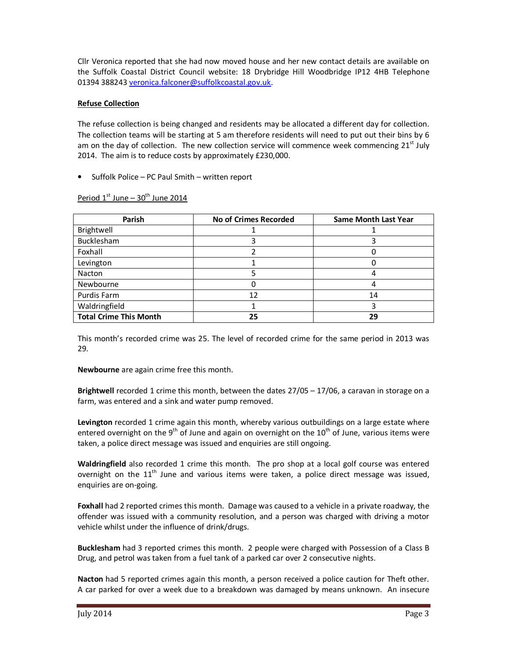Cllr Veronica reported that she had now moved house and her new contact details are available on the Suffolk Coastal District Council website: 18 Drybridge Hill Woodbridge IP12 4HB Telephone 01394 388243 veronica.falconer@suffolkcoastal.gov.uk.

# **Refuse Collection**

The refuse collection is being changed and residents may be allocated a different day for collection. The collection teams will be starting at 5 am therefore residents will need to put out their bins by 6 am on the day of collection. The new collection service will commence week commencing  $21<sup>st</sup>$  July 2014. The aim is to reduce costs by approximately £230,000.

• Suffolk Police – PC Paul Smith – written report

| Parish                        | No of Crimes Recorded | <b>Same Month Last Year</b> |
|-------------------------------|-----------------------|-----------------------------|
| Brightwell                    |                       |                             |
| Bucklesham                    |                       |                             |
| Foxhall                       |                       |                             |
| Levington                     |                       |                             |
| Nacton                        |                       | 4                           |
| Newbourne                     |                       |                             |
| Purdis Farm                   | 12                    | 14                          |
| Waldringfield                 |                       |                             |
| <b>Total Crime This Month</b> | 25                    | 29                          |

Period  $1^{\text{st}}$  June –  $30^{\text{th}}$  June 2014

This month's recorded crime was 25. The level of recorded crime for the same period in 2013 was 29.

**Newbourne** are again crime free this month.

**Brightwell** recorded 1 crime this month, between the dates 27/05 – 17/06, a caravan in storage on a farm, was entered and a sink and water pump removed.

**Levington** recorded 1 crime again this month, whereby various outbuildings on a large estate where entered overnight on the 9<sup>th</sup> of June and again on overnight on the  $10^{th}$  of June, various items were taken, a police direct message was issued and enquiries are still ongoing.

**Waldringfield** also recorded 1 crime this month. The pro shop at a local golf course was entered overnight on the  $11<sup>th</sup>$  June and various items were taken, a police direct message was issued, enquiries are on-going.

**Foxhall** had 2 reported crimes this month. Damage was caused to a vehicle in a private roadway, the offender was issued with a community resolution, and a person was charged with driving a motor vehicle whilst under the influence of drink/drugs.

**Bucklesham** had 3 reported crimes this month. 2 people were charged with Possession of a Class B Drug, and petrol was taken from a fuel tank of a parked car over 2 consecutive nights.

**Nacton** had 5 reported crimes again this month, a person received a police caution for Theft other. A car parked for over a week due to a breakdown was damaged by means unknown. An insecure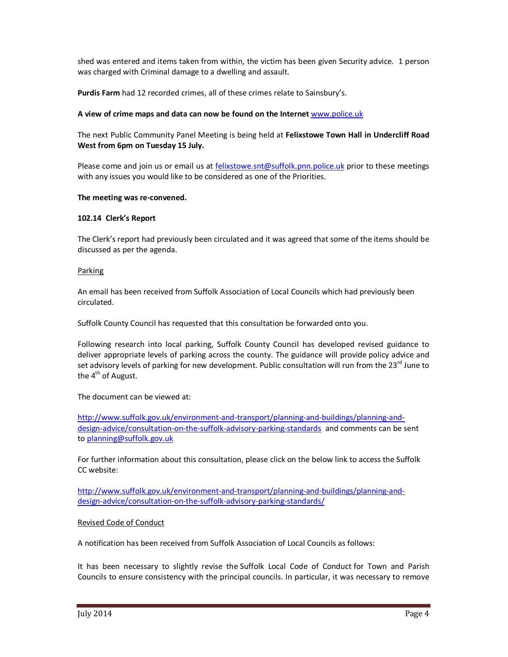shed was entered and items taken from within, the victim has been given Security advice. 1 person was charged with Criminal damage to a dwelling and assault.

**Purdis Farm** had 12 recorded crimes, all of these crimes relate to Sainsbury's.

### **A view of crime maps and data can now be found on the Internet** www.police.uk

The next Public Community Panel Meeting is being held at **Felixstowe Town Hall in Undercliff Road West from 6pm on Tuesday 15 July.** 

Please come and join us or email us at felixstowe.snt@suffolk.pnn.police.uk prior to these meetings with any issues you would like to be considered as one of the Priorities.

#### **The meeting was re-convened.**

### **102.14 Clerk's Report**

The Clerk's report had previously been circulated and it was agreed that some of the items should be discussed as per the agenda.

#### Parking

An email has been received from Suffolk Association of Local Councils which had previously been circulated.

Suffolk County Council has requested that this consultation be forwarded onto you.

Following research into local parking, Suffolk County Council has developed revised guidance to deliver appropriate levels of parking across the county. The guidance will provide policy advice and set advisory levels of parking for new development. Public consultation will run from the 23<sup>rd</sup> June to the  $4<sup>th</sup>$  of August.

The document can be viewed at:

http://www.suffolk.gov.uk/environment-and-transport/planning-and-buildings/planning-anddesign-advice/consultation-on-the-suffolk-advisory-parking-standards and comments can be sent to planning@suffolk.gov.uk

For further information about this consultation, please click on the below link to access the Suffolk CC website:

http://www.suffolk.gov.uk/environment-and-transport/planning-and-buildings/planning-anddesign-advice/consultation-on-the-suffolk-advisory-parking-standards/

#### Revised Code of Conduct

A notification has been received from Suffolk Association of Local Councils as follows:

It has been necessary to slightly revise the Suffolk Local Code of Conduct for Town and Parish Councils to ensure consistency with the principal councils. In particular, it was necessary to remove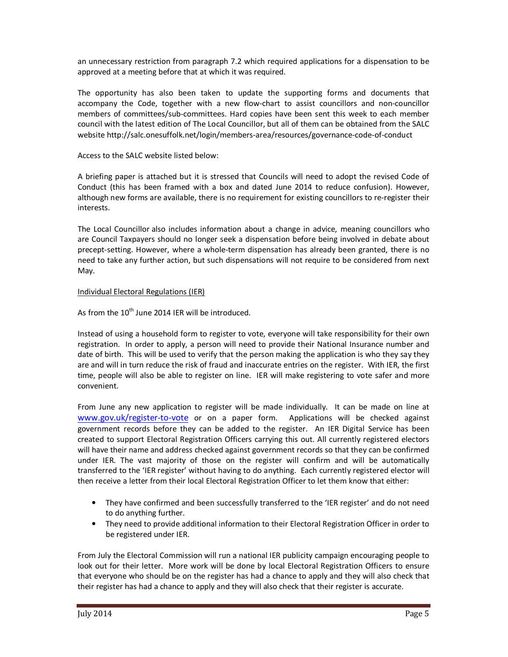an unnecessary restriction from paragraph 7.2 which required applications for a dispensation to be approved at a meeting before that at which it was required.

The opportunity has also been taken to update the supporting forms and documents that accompany the Code, together with a new flow-chart to assist councillors and non-councillor members of committees/sub-committees. Hard copies have been sent this week to each member council with the latest edition of The Local Councillor, but all of them can be obtained from the SALC website http://salc.onesuffolk.net/login/members-area/resources/governance-code-of-conduct

Access to the SALC website listed below:

A briefing paper is attached but it is stressed that Councils will need to adopt the revised Code of Conduct (this has been framed with a box and dated June 2014 to reduce confusion). However, although new forms are available, there is no requirement for existing councillors to re-register their interests.

The Local Councillor also includes information about a change in advice, meaning councillors who are Council Taxpayers should no longer seek a dispensation before being involved in debate about precept-setting. However, where a whole-term dispensation has already been granted, there is no need to take any further action, but such dispensations will not require to be considered from next May.

# Individual Electoral Regulations (IER)

As from the  $10^{th}$  June 2014 IER will be introduced.

Instead of using a household form to register to vote, everyone will take responsibility for their own registration. In order to apply, a person will need to provide their National Insurance number and date of birth. This will be used to verify that the person making the application is who they say they are and will in turn reduce the risk of fraud and inaccurate entries on the register. With IER, the first time, people will also be able to register on line. IER will make registering to vote safer and more convenient.

From June any new application to register will be made individually. It can be made on line at www.gov.uk/register-to-vote or on a paper form. Applications will be checked against government records before they can be added to the register. An IER Digital Service has been created to support Electoral Registration Officers carrying this out. All currently registered electors will have their name and address checked against government records so that they can be confirmed under IER. The vast majority of those on the register will confirm and will be automatically transferred to the 'IER register' without having to do anything. Each currently registered elector will then receive a letter from their local Electoral Registration Officer to let them know that either:

- They have confirmed and been successfully transferred to the 'IER register' and do not need to do anything further.
- They need to provide additional information to their Electoral Registration Officer in order to be registered under IER.

From July the Electoral Commission will run a national IER publicity campaign encouraging people to look out for their letter. More work will be done by local Electoral Registration Officers to ensure that everyone who should be on the register has had a chance to apply and they will also check that their register has had a chance to apply and they will also check that their register is accurate.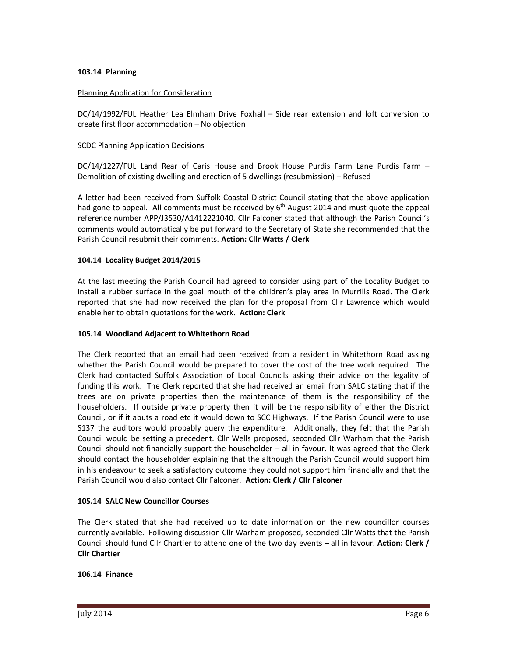### **103.14 Planning**

### Planning Application for Consideration

DC/14/1992/FUL Heather Lea Elmham Drive Foxhall – Side rear extension and loft conversion to create first floor accommodation – No objection

#### **SCDC Planning Application Decisions**

DC/14/1227/FUL Land Rear of Caris House and Brook House Purdis Farm Lane Purdis Farm – Demolition of existing dwelling and erection of 5 dwellings (resubmission) – Refused

A letter had been received from Suffolk Coastal District Council stating that the above application had gone to appeal. All comments must be received by  $6<sup>th</sup>$  August 2014 and must quote the appeal reference number APP/J3530/A1412221040. Cllr Falconer stated that although the Parish Council's comments would automatically be put forward to the Secretary of State she recommended that the Parish Council resubmit their comments. **Action: Cllr Watts / Clerk** 

### **104.14 Locality Budget 2014/2015**

At the last meeting the Parish Council had agreed to consider using part of the Locality Budget to install a rubber surface in the goal mouth of the children's play area in Murrills Road. The Clerk reported that she had now received the plan for the proposal from Cllr Lawrence which would enable her to obtain quotations for the work. **Action: Clerk** 

#### **105.14 Woodland Adjacent to Whitethorn Road**

The Clerk reported that an email had been received from a resident in Whitethorn Road asking whether the Parish Council would be prepared to cover the cost of the tree work required. The Clerk had contacted Suffolk Association of Local Councils asking their advice on the legality of funding this work. The Clerk reported that she had received an email from SALC stating that if the trees are on private properties then the maintenance of them is the responsibility of the householders. If outside private property then it will be the responsibility of either the District Council, or if it abuts a road etc it would down to SCC Highways. If the Parish Council were to use S137 the auditors would probably query the expenditure. Additionally, they felt that the Parish Council would be setting a precedent. Cllr Wells proposed, seconded Cllr Warham that the Parish Council should not financially support the householder – all in favour. It was agreed that the Clerk should contact the householder explaining that the although the Parish Council would support him in his endeavour to seek a satisfactory outcome they could not support him financially and that the Parish Council would also contact Cllr Falconer. **Action: Clerk / Cllr Falconer** 

#### **105.14 SALC New Councillor Courses**

The Clerk stated that she had received up to date information on the new councillor courses currently available. Following discussion Cllr Warham proposed, seconded Cllr Watts that the Parish Council should fund Cllr Chartier to attend one of the two day events – all in favour. **Action: Clerk / Cllr Chartier** 

#### **106.14 Finance**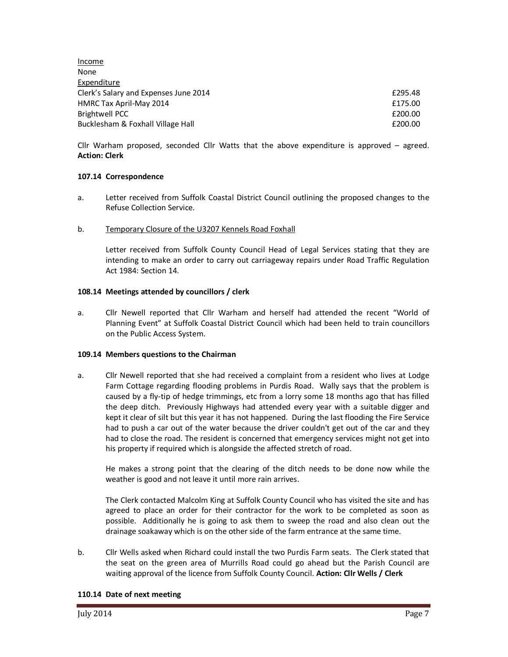Income None Expenditure Clerk's Salary and Expenses June 2014 **Example 2014 Example 2014 E295.48** HMRC Tax April-May 2014 **Example 2014 Example 2014 Example 2014 Example 2014** Brightwell PCC **E200.00** Bucklesham & Foxhall Village Hall **Example 200.00** and the state of the state of the state of the state of the state of the state of the state of the state of the state of the state of the state of the state of the state o

Cllr Warham proposed, seconded Cllr Watts that the above expenditure is approved – agreed. **Action: Clerk** 

# **107.14 Correspondence**

- a. Letter received from Suffolk Coastal District Council outlining the proposed changes to the Refuse Collection Service.
- b. Temporary Closure of the U3207 Kennels Road Foxhall

Letter received from Suffolk County Council Head of Legal Services stating that they are intending to make an order to carry out carriageway repairs under Road Traffic Regulation Act 1984: Section 14.

### **108.14 Meetings attended by councillors / clerk**

a. Cllr Newell reported that Cllr Warham and herself had attended the recent "World of Planning Event" at Suffolk Coastal District Council which had been held to train councillors on the Public Access System.

#### **109.14 Members questions to the Chairman**

a. Cllr Newell reported that she had received a complaint from a resident who lives at Lodge Farm Cottage regarding flooding problems in Purdis Road. Wally says that the problem is caused by a fly-tip of hedge trimmings, etc from a lorry some 18 months ago that has filled the deep ditch. Previously Highways had attended every year with a suitable digger and kept it clear of silt but this year it has not happened. During the last flooding the Fire Service had to push a car out of the water because the driver couldn't get out of the car and they had to close the road. The resident is concerned that emergency services might not get into his property if required which is alongside the affected stretch of road.

He makes a strong point that the clearing of the ditch needs to be done now while the weather is good and not leave it until more rain arrives.

The Clerk contacted Malcolm King at Suffolk County Council who has visited the site and has agreed to place an order for their contractor for the work to be completed as soon as possible. Additionally he is going to ask them to sweep the road and also clean out the drainage soakaway which is on the other side of the farm entrance at the same time.

b. Cllr Wells asked when Richard could install the two Purdis Farm seats. The Clerk stated that the seat on the green area of Murrills Road could go ahead but the Parish Council are waiting approval of the licence from Suffolk County Council. **Action: Cllr Wells / Clerk** 

#### **110.14 Date of next meeting**